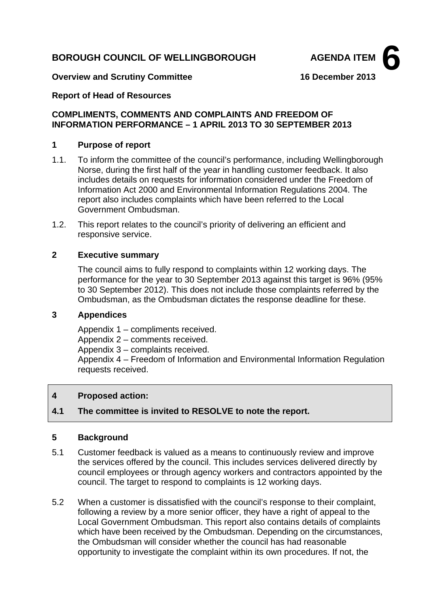# **BOROUGH COUNCIL OF WELLINGBOROUGH AGENDA ITEM**



#### **Overview and Scrutiny Committee 16 December 2013**

### **Report of Head of Resources**

### **COMPLIMENTS, COMMENTS AND COMPLAINTS AND FREEDOM OF INFORMATION PERFORMANCE – 1 APRIL 2013 TO 30 SEPTEMBER 2013**

#### **1 Purpose of report**

- 1.1. To inform the committee of the council's performance, including Wellingborough Norse, during the first half of the year in handling customer feedback. It also includes details on requests for information considered under the Freedom of Information Act 2000 and Environmental Information Regulations 2004. The report also includes complaints which have been referred to the Local Government Ombudsman.
- 1.2. This report relates to the council's priority of delivering an efficient and responsive service.

### **2 Executive summary**

The council aims to fully respond to complaints within 12 working days. The performance for the year to 30 September 2013 against this target is 96% (95% to 30 September 2012). This does not include those complaints referred by the Ombudsman, as the Ombudsman dictates the response deadline for these.

## **3 Appendices**

Appendix 1 – compliments received.

Appendix 2 – comments received.

Appendix 3 – complaints received.

Appendix 4 – Freedom of Information and Environmental Information Regulation requests received.

#### **4 Proposed action:**

# **4.1 The committee is invited to RESOLVE to note the report.**

#### **5 Background**

- 5.1 Customer feedback is valued as a means to continuously review and improve the services offered by the council. This includes services delivered directly by council employees or through agency workers and contractors appointed by the council. The target to respond to complaints is 12 working days.
- 5.2 When a customer is dissatisfied with the council's response to their complaint, following a review by a more senior officer, they have a right of appeal to the Local Government Ombudsman. This report also contains details of complaints which have been received by the Ombudsman. Depending on the circumstances, the Ombudsman will consider whether the council has had reasonable opportunity to investigate the complaint within its own procedures. If not, the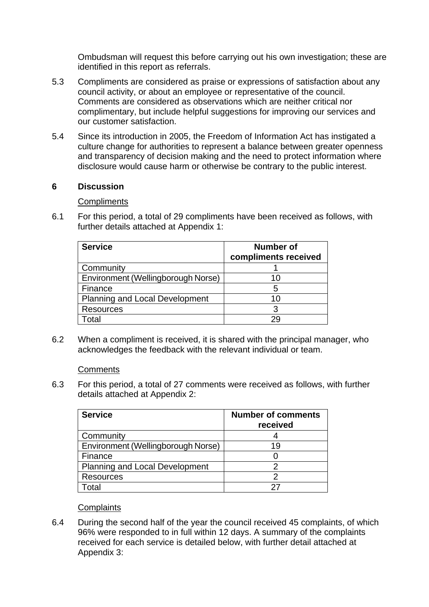Ombudsman will request this before carrying out his own investigation; these are identified in this report as referrals.

- 5.3 Compliments are considered as praise or expressions of satisfaction about any council activity, or about an employee or representative of the council. Comments are considered as observations which are neither critical nor complimentary, but include helpful suggestions for improving our services and our customer satisfaction.
- 5.4 Since its introduction in 2005, the Freedom of Information Act has instigated a culture change for authorities to represent a balance between greater openness and transparency of decision making and the need to protect information where disclosure would cause harm or otherwise be contrary to the public interest.

# **6 Discussion**

**Compliments** 

6.1 For this period, a total of 29 compliments have been received as follows, with further details attached at Appendix 1:

| <b>Service</b>                        | Number of            |
|---------------------------------------|----------------------|
|                                       | compliments received |
| Community                             |                      |
| Environment (Wellingborough Norse)    | 10                   |
| Finance                               | 5                    |
| <b>Planning and Local Development</b> | 10                   |
| <b>Resources</b>                      |                      |
| otal                                  | 29                   |

6.2 When a compliment is received, it is shared with the principal manager, who acknowledges the feedback with the relevant individual or team.

#### **Comments**

6.3 For this period, a total of 27 comments were received as follows, with further details attached at Appendix 2:

| <b>Service</b>                        | <b>Number of comments</b><br>received |
|---------------------------------------|---------------------------------------|
| Community                             |                                       |
| Environment (Wellingborough Norse)    | 19                                    |
| Finance                               |                                       |
| <b>Planning and Local Development</b> |                                       |
| <b>Resources</b>                      |                                       |
| ัดtal                                 |                                       |

## **Complaints**

6.4 During the second half of the year the council received 45 complaints, of which 96% were responded to in full within 12 days. A summary of the complaints received for each service is detailed below, with further detail attached at Appendix 3: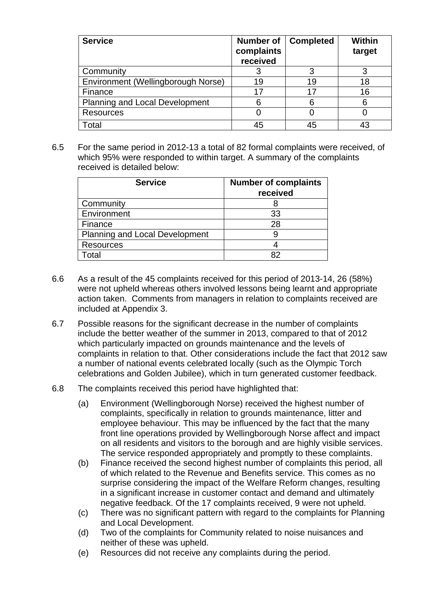| <b>Service</b>                        | Number of<br>complaints<br>received | <b>Completed</b> | Within<br>target |
|---------------------------------------|-------------------------------------|------------------|------------------|
| Community                             | C,                                  |                  | 3                |
| Environment (Wellingborough Norse)    | 19                                  | 19               | 18               |
| Finance                               | 17                                  | 17               | 16               |
| <b>Planning and Local Development</b> | 6                                   | հ                | 6                |
| <b>Resources</b>                      |                                     |                  |                  |
| Total                                 |                                     | 45               | 43               |

6.5 For the same period in 2012-13 a total of 82 formal complaints were received, of which 95% were responded to within target. A summary of the complaints received is detailed below:

| <b>Service</b>                        | <b>Number of complaints</b><br>received |
|---------------------------------------|-----------------------------------------|
| Community                             |                                         |
| Environment                           | 33                                      |
| Finance                               | 28                                      |
| <b>Planning and Local Development</b> |                                         |
| <b>Resources</b>                      |                                         |
| Total                                 | 82                                      |

- 6.6 As a result of the 45 complaints received for this period of 2013-14, 26 (58%) were not upheld whereas others involved lessons being learnt and appropriate action taken. Comments from managers in relation to complaints received are included at Appendix 3.
- 6.7 Possible reasons for the significant decrease in the number of complaints include the better weather of the summer in 2013, compared to that of 2012 which particularly impacted on grounds maintenance and the levels of complaints in relation to that. Other considerations include the fact that 2012 saw a number of national events celebrated locally (such as the Olympic Torch celebrations and Golden Jubilee), which in turn generated customer feedback.
- 6.8 The complaints received this period have highlighted that:
	- (a) Environment (Wellingborough Norse) received the highest number of complaints, specifically in relation to grounds maintenance, litter and employee behaviour. This may be influenced by the fact that the many front line operations provided by Wellingborough Norse affect and impact on all residents and visitors to the borough and are highly visible services. The service responded appropriately and promptly to these complaints.
	- (b) Finance received the second highest number of complaints this period, all of which related to the Revenue and Benefits service. This comes as no surprise considering the impact of the Welfare Reform changes, resulting in a significant increase in customer contact and demand and ultimately negative feedback. Of the 17 complaints received, 9 were not upheld.
	- (c) There was no significant pattern with regard to the complaints for Planning and Local Development.
	- (d) Two of the complaints for Community related to noise nuisances and neither of these was upheld.
	- (e) Resources did not receive any complaints during the period.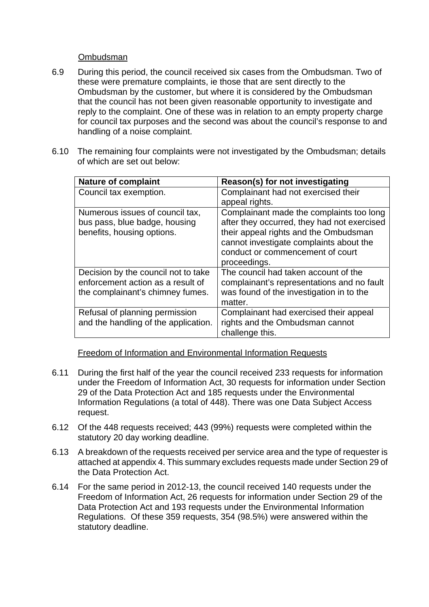### Ombudsman

- 6.9 During this period, the council received six cases from the Ombudsman. Two of these were premature complaints, ie those that are sent directly to the Ombudsman by the customer, but where it is considered by the Ombudsman that the council has not been given reasonable opportunity to investigate and reply to the complaint. One of these was in relation to an empty property charge for council tax purposes and the second was about the council's response to and handling of a noise complaint.
- 6.10 The remaining four complaints were not investigated by the Ombudsman; details of which are set out below:

| <b>Nature of complaint</b>           | Reason(s) for not investigating             |
|--------------------------------------|---------------------------------------------|
| Council tax exemption.               | Complainant had not exercised their         |
|                                      | appeal rights.                              |
| Numerous issues of council tax,      | Complainant made the complaints too long    |
| bus pass, blue badge, housing        | after they occurred, they had not exercised |
| benefits, housing options.           | their appeal rights and the Ombudsman       |
|                                      | cannot investigate complaints about the     |
|                                      | conduct or commencement of court            |
|                                      | proceedings.                                |
| Decision by the council not to take  | The council had taken account of the        |
| enforcement action as a result of    | complainant's representations and no fault  |
| the complainant's chimney fumes.     | was found of the investigation in to the    |
|                                      | matter.                                     |
| Refusal of planning permission       | Complainant had exercised their appeal      |
| and the handling of the application. | rights and the Ombudsman cannot             |
|                                      | challenge this.                             |

Freedom of Information and Environmental Information Requests

- 6.11 During the first half of the year the council received 233 requests for information under the Freedom of Information Act, 30 requests for information under Section 29 of the Data Protection Act and 185 requests under the Environmental Information Regulations (a total of 448). There was one Data Subject Access request.
- 6.12 Of the 448 requests received; 443 (99%) requests were completed within the statutory 20 day working deadline.
- 6.13 A breakdown of the requests received per service area and the type of requester is attached at appendix 4. This summary excludes requests made under Section 29 of the Data Protection Act.
- 6.14 For the same period in 2012-13, the council received 140 requests under the Freedom of Information Act, 26 requests for information under Section 29 of the Data Protection Act and 193 requests under the Environmental Information Regulations. Of these 359 requests, 354 (98.5%) were answered within the statutory deadline.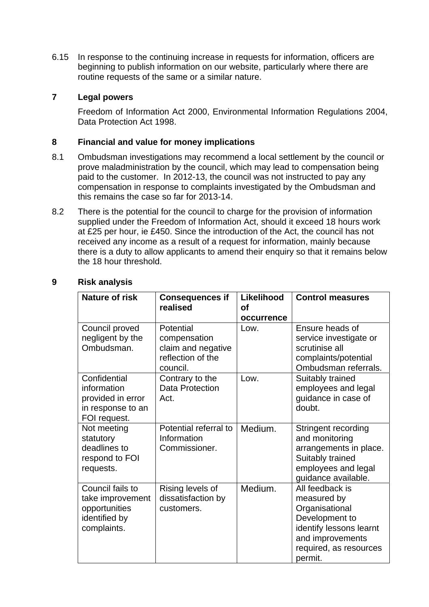6.15 In response to the continuing increase in requests for information, officers are beginning to publish information on our website, particularly where there are routine requests of the same or a similar nature.

# **7 Legal powers**

Freedom of Information Act 2000, Environmental Information Regulations 2004, Data Protection Act 1998.

# **8 Financial and value for money implications**

- 8.1 Ombudsman investigations may recommend a local settlement by the council or prove maladministration by the council, which may lead to compensation being paid to the customer. In 2012-13, the council was not instructed to pay any compensation in response to complaints investigated by the Ombudsman and this remains the case so far for 2013-14.
- 8.2 There is the potential for the council to charge for the provision of information supplied under the Freedom of Information Act, should it exceed 18 hours work at £25 per hour, ie £450. Since the introduction of the Act, the council has not received any income as a result of a request for information, mainly because there is a duty to allow applicants to amend their enquiry so that it remains below the 18 hour threshold.

| <b>Nature of risk</b>                                                                 | <b>Consequences if</b><br>realised                                               | Likelihood<br>οf<br>occurrence | <b>Control measures</b>                                                                                                                                |
|---------------------------------------------------------------------------------------|----------------------------------------------------------------------------------|--------------------------------|--------------------------------------------------------------------------------------------------------------------------------------------------------|
| Council proved<br>negligent by the<br>Ombudsman.                                      | Potential<br>compensation<br>claim and negative<br>reflection of the<br>council. | Low.                           | Ensure heads of<br>service investigate or<br>scrutinise all<br>complaints/potential<br>Ombudsman referrals.                                            |
| Confidential<br>information<br>provided in error<br>in response to an<br>FOI request. | Contrary to the<br><b>Data Protection</b><br>Act.                                | Low.                           | Suitably trained<br>employees and legal<br>guidance in case of<br>doubt.                                                                               |
| Not meeting<br>statutory<br>deadlines to<br>respond to FOI<br>requests.               | Potential referral to<br>Information<br>Commissioner.                            | Medium.                        | Stringent recording<br>and monitoring<br>arrangements in place.<br>Suitably trained<br>employees and legal<br>guidance available.                      |
| Council fails to<br>take improvement<br>opportunities<br>identified by<br>complaints. | Rising levels of<br>dissatisfaction by<br>customers.                             | Medium.                        | All feedback is<br>measured by<br>Organisational<br>Development to<br>identify lessons learnt<br>and improvements<br>required, as resources<br>permit. |

## **9 Risk analysis**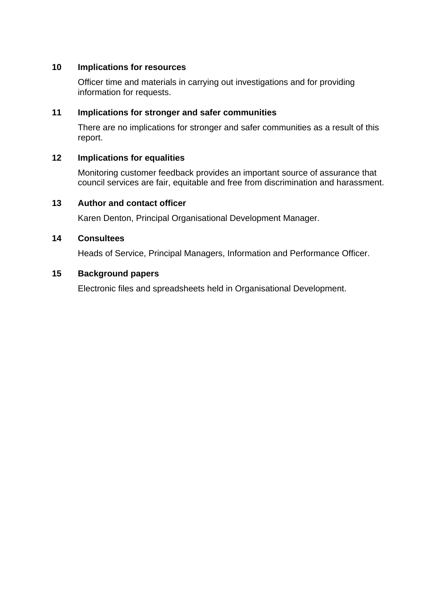# **10 Implications for resources**

Officer time and materials in carrying out investigations and for providing information for requests.

# **11 Implications for stronger and safer communities**

There are no implications for stronger and safer communities as a result of this report.

# **12 Implications for equalities**

Monitoring customer feedback provides an important source of assurance that council services are fair, equitable and free from discrimination and harassment.

# **13 Author and contact officer**

Karen Denton, Principal Organisational Development Manager.

# **14 Consultees**

Heads of Service, Principal Managers, Information and Performance Officer.

# **15 Background papers**

Electronic files and spreadsheets held in Organisational Development.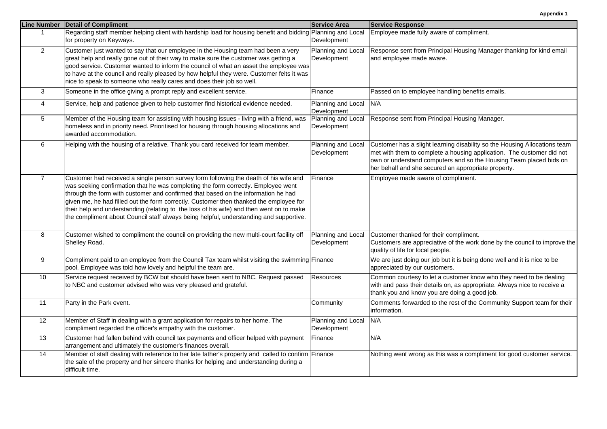|                 | Line Number   Detail of Compliment                                                                                                                                                                                                                                                                                                                                                                                                                                                                                                              | <b>Service Area</b>               | <b>Service Response</b>                                                                                                                                                                                                                                                         |
|-----------------|-------------------------------------------------------------------------------------------------------------------------------------------------------------------------------------------------------------------------------------------------------------------------------------------------------------------------------------------------------------------------------------------------------------------------------------------------------------------------------------------------------------------------------------------------|-----------------------------------|---------------------------------------------------------------------------------------------------------------------------------------------------------------------------------------------------------------------------------------------------------------------------------|
| -1              | Regarding staff member helping client with hardship load for housing benefit and bidding Planning and Local<br>for property on Keyways.                                                                                                                                                                                                                                                                                                                                                                                                         | Development                       | Employee made fully aware of compliment.                                                                                                                                                                                                                                        |
| $\overline{2}$  | Customer just wanted to say that our employee in the Housing team had been a very<br>great help and really gone out of their way to make sure the customer was getting a<br>good service. Customer wanted to inform the council of what an asset the employee was<br>to have at the council and really pleased by how helpful they were. Customer felts it was<br>nice to speak to someone who really cares and does their job so well.                                                                                                         | Planning and Local<br>Development | Response sent from Principal Housing Manager thanking for kind email<br>and employee made aware.                                                                                                                                                                                |
| 3               | Someone in the office giving a prompt reply and excellent service.                                                                                                                                                                                                                                                                                                                                                                                                                                                                              | Finance                           | Passed on to employee handling benefits emails.                                                                                                                                                                                                                                 |
| $\overline{4}$  | Service, help and patience given to help customer find historical evidence needed.                                                                                                                                                                                                                                                                                                                                                                                                                                                              | Planning and Local<br>Development | N/A                                                                                                                                                                                                                                                                             |
| 5               | Member of the Housing team for assisting with housing issues - living with a friend, was<br>homeless and in priority need. Prioritised for housing through housing allocations and<br>awarded accommodation.                                                                                                                                                                                                                                                                                                                                    | Planning and Local<br>Development | Response sent from Principal Housing Manager.                                                                                                                                                                                                                                   |
| 6               | Helping with the housing of a relative. Thank you card received for team member.                                                                                                                                                                                                                                                                                                                                                                                                                                                                | Planning and Local<br>Development | Customer has a slight learning disability so the Housing Allocations team<br>met with them to complete a housing application. The customer did not<br>own or understand computers and so the Housing Team placed bids on<br>her behalf and she secured an appropriate property. |
| $\overline{7}$  | Customer had received a single person survey form following the death of his wife and<br>was seeking confirmation that he was completing the form correctly. Employee went<br>through the form with customer and confirmed that based on the information he had<br>given me, he had filled out the form correctly. Customer then thanked the employee for<br>their help and understanding (relating to the loss of his wife) and then went on to make<br>the compliment about Council staff always being helpful, understanding and supportive. | Finance                           | Employee made aware of compliment.                                                                                                                                                                                                                                              |
| 8               | Customer wished to compliment the council on providing the new multi-court facility off<br>Shelley Road.                                                                                                                                                                                                                                                                                                                                                                                                                                        | Planning and Local<br>Development | Customer thanked for their compliment.<br>Customers are appreciative of the work done by the council to improve the<br>quality of life for local people.                                                                                                                        |
| 9               | Compliment paid to an employee from the Council Tax team whilst visiting the swimming Finance<br>pool. Employee was told how lovely and helpful the team are.                                                                                                                                                                                                                                                                                                                                                                                   |                                   | We are just doing our job but it is being done well and it is nice to be<br>appreciated by our customers.                                                                                                                                                                       |
| 10              | Service request received by BCW but should have been sent to NBC. Request passed<br>to NBC and customer advised who was very pleased and grateful.                                                                                                                                                                                                                                                                                                                                                                                              | Resources                         | Common courtesy to let a customer know who they need to be dealing<br>with and pass their details on, as appropriate. Always nice to receive a<br>thank you and know you are doing a good job.                                                                                  |
| 11              | Party in the Park event.                                                                                                                                                                                                                                                                                                                                                                                                                                                                                                                        | Community                         | Comments forwarded to the rest of the Community Support team for their<br>information.                                                                                                                                                                                          |
| $\overline{12}$ | Member of Staff in dealing with a grant application for repairs to her home. The<br>compliment regarded the officer's empathy with the customer.                                                                                                                                                                                                                                                                                                                                                                                                | Planning and Local<br>Development | N/A                                                                                                                                                                                                                                                                             |
| 13              | Customer had fallen behind with council tax payments and officer helped with payment<br>arrangement and ultimately the customer's finances overall.                                                                                                                                                                                                                                                                                                                                                                                             | Finance                           | N/A                                                                                                                                                                                                                                                                             |
| 14              | Member of staff dealing with reference to her late father's property and called to confirm Finance<br>the sale of the property and her sincere thanks for helping and understanding during a<br>difficult time.                                                                                                                                                                                                                                                                                                                                 |                                   | Nothing went wrong as this was a compliment for good customer service.                                                                                                                                                                                                          |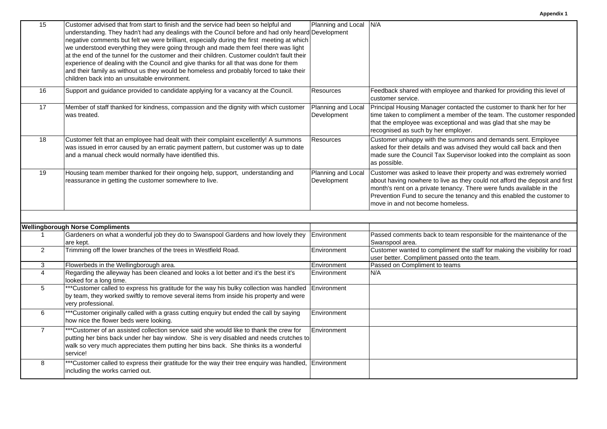| 15             | Customer advised that from start to finish and the service had been so helpful and<br>understanding. They hadn't had any dealings with the Council before and had only heard Development<br>negative comments but felt we were brilliant, especially during the first meeting at which<br>we understood everything they were going through and made them feel there was light<br>at the end of the tunnel for the customer and their children. Customer couldn't fault their<br>experience of dealing with the Council and give thanks for all that was done for them<br>and their family as without us they would be homeless and probably forced to take their<br>children back into an unsuitable environment. | Planning and Local N/A            |                                                                                                                                                                                                                                                                                                                                           |
|----------------|-------------------------------------------------------------------------------------------------------------------------------------------------------------------------------------------------------------------------------------------------------------------------------------------------------------------------------------------------------------------------------------------------------------------------------------------------------------------------------------------------------------------------------------------------------------------------------------------------------------------------------------------------------------------------------------------------------------------|-----------------------------------|-------------------------------------------------------------------------------------------------------------------------------------------------------------------------------------------------------------------------------------------------------------------------------------------------------------------------------------------|
| 16             | Support and guidance provided to candidate applying for a vacancy at the Council.                                                                                                                                                                                                                                                                                                                                                                                                                                                                                                                                                                                                                                 | <b>Resources</b>                  | Feedback shared with employee and thanked for providing this level of<br>customer service.                                                                                                                                                                                                                                                |
| 17             | Member of staff thanked for kindness, compassion and the dignity with which customer<br>was treated.                                                                                                                                                                                                                                                                                                                                                                                                                                                                                                                                                                                                              | Planning and Local<br>Development | Principal Housing Manager contacted the customer to thank her for her<br>time taken to compliment a member of the team. The customer responded<br>that the employee was exceptional and was glad that she may be<br>recognised as such by her employer.                                                                                   |
| 18             | Customer felt that an employee had dealt with their complaint excellently! A summons<br>was issued in error caused by an erratic payment pattern, but customer was up to date<br>and a manual check would normally have identified this.                                                                                                                                                                                                                                                                                                                                                                                                                                                                          | <b>Resources</b>                  | Customer unhappy with the summons and demands sent. Employee<br>asked for their details and was advised they would call back and then<br>made sure the Council Tax Supervisor looked into the complaint as soon<br>as possible.                                                                                                           |
| 19             | Housing team member thanked for their ongoing help, support, understanding and<br>reassurance in getting the customer somewhere to live.                                                                                                                                                                                                                                                                                                                                                                                                                                                                                                                                                                          | Planning and Local<br>Development | Customer was asked to leave their property and was extremely worried<br>about having nowhere to live as they could not afford the deposit and first<br>month's rent on a private tenancy. There were funds available in the<br>Prevention Fund to secure the tenancy and this enabled the customer to<br>move in and not become homeless. |
|                | <b>Wellingborough Norse Compliments</b>                                                                                                                                                                                                                                                                                                                                                                                                                                                                                                                                                                                                                                                                           |                                   |                                                                                                                                                                                                                                                                                                                                           |
| $\mathbf{1}$   | Gardeners on what a wonderful job they do to Swanspool Gardens and how lovely they<br>are kept.                                                                                                                                                                                                                                                                                                                                                                                                                                                                                                                                                                                                                   | Environment                       | Passed comments back to team responsible for the maintenance of the<br>Swanspool area.                                                                                                                                                                                                                                                    |
| $\overline{2}$ | Trimming off the lower branches of the trees in Westfield Road.                                                                                                                                                                                                                                                                                                                                                                                                                                                                                                                                                                                                                                                   | Environment                       | Customer wanted to compliment the staff for making the visibility for road<br>user better. Compliment passed onto the team.                                                                                                                                                                                                               |
| 3              | Flowerbeds in the Wellingborough area.                                                                                                                                                                                                                                                                                                                                                                                                                                                                                                                                                                                                                                                                            | Environment                       | Passed on Compliment to teams                                                                                                                                                                                                                                                                                                             |
| $\overline{4}$ | Regarding the alleyway has been cleaned and looks a lot better and it's the best it's<br>looked for a long time.                                                                                                                                                                                                                                                                                                                                                                                                                                                                                                                                                                                                  | Environment                       | N/A                                                                                                                                                                                                                                                                                                                                       |
| 5              | *** Customer called to express his gratitude for the way his bulky collection was handled<br>by team, they worked swiftly to remove several items from inside his property and were<br>very professional.                                                                                                                                                                                                                                                                                                                                                                                                                                                                                                         | Environment                       |                                                                                                                                                                                                                                                                                                                                           |
| 6              | *** Customer originally called with a grass cutting enquiry but ended the call by saying<br>how nice the flower beds were looking.                                                                                                                                                                                                                                                                                                                                                                                                                                                                                                                                                                                | Environment                       |                                                                                                                                                                                                                                                                                                                                           |
| $\overline{7}$ | *** Customer of an assisted collection service said she would like to thank the crew for<br>putting her bins back under her bay window. She is very disabled and needs crutches to<br>walk so very much appreciates them putting her bins back. She thinks its a wonderful<br>service!                                                                                                                                                                                                                                                                                                                                                                                                                            | Environment                       |                                                                                                                                                                                                                                                                                                                                           |
| 8              | *** Customer called to express their gratitude for the way their tree enquiry was handled,<br>including the works carried out.                                                                                                                                                                                                                                                                                                                                                                                                                                                                                                                                                                                    | Environment                       |                                                                                                                                                                                                                                                                                                                                           |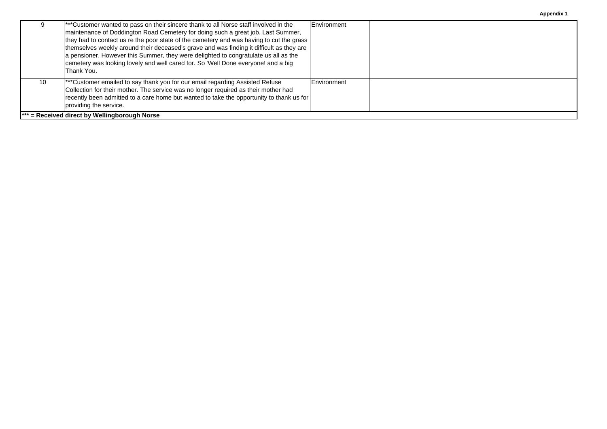| <b>Appendix 1</b> |  |  |  |  |
|-------------------|--|--|--|--|
|-------------------|--|--|--|--|

|    | ***Customer wanted to pass on their sincere thank to all Norse staff involved in the<br>maintenance of Doddington Road Cemetery for doing such a great job. Last Summer,<br>they had to contact us re the poor state of the cemetery and was having to cut the grass<br>themselves weekly around their deceased's grave and was finding it difficult as they are<br>a pensioner. However this Summer, they were delighted to congratulate us all as the<br>cemetery was looking lovely and well cared for. So 'Well Done everyone! and a big<br><b>Thank You.</b> | Environment |  |
|----|-------------------------------------------------------------------------------------------------------------------------------------------------------------------------------------------------------------------------------------------------------------------------------------------------------------------------------------------------------------------------------------------------------------------------------------------------------------------------------------------------------------------------------------------------------------------|-------------|--|
| 10 | ***Customer emailed to say thank you for our email regarding Assisted Refuse<br>Collection for their mother. The service was no longer required as their mother had<br>recently been admitted to a care home but wanted to take the opportunity to thank us for<br>providing the service.                                                                                                                                                                                                                                                                         | Environment |  |
|    | $\mathsf{I}^{***}$ = Received direct by Wellingborough Norse                                                                                                                                                                                                                                                                                                                                                                                                                                                                                                      |             |  |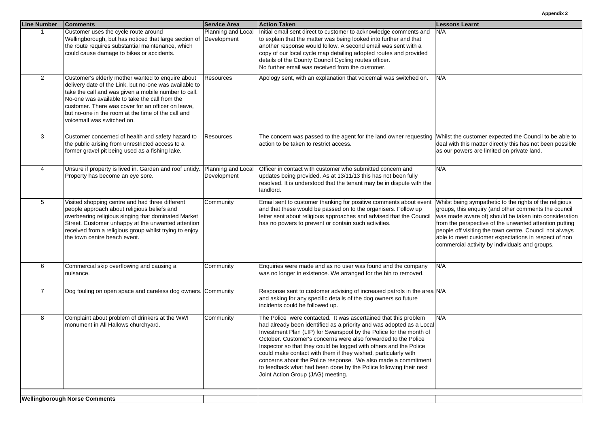| <b>Line Number</b> | <b>Comments</b>                                                                                                                                                                                                                                                                                                                                                 | <b>Service Area</b>               | <b>Action Taken</b>                                                                                                                                                                                                                                                                                                                                                                                                                                                                                                                                                                               | <b>Lessons Learnt</b>                                                                                                                                                                                                                                                                                                                                                                                   |
|--------------------|-----------------------------------------------------------------------------------------------------------------------------------------------------------------------------------------------------------------------------------------------------------------------------------------------------------------------------------------------------------------|-----------------------------------|---------------------------------------------------------------------------------------------------------------------------------------------------------------------------------------------------------------------------------------------------------------------------------------------------------------------------------------------------------------------------------------------------------------------------------------------------------------------------------------------------------------------------------------------------------------------------------------------------|---------------------------------------------------------------------------------------------------------------------------------------------------------------------------------------------------------------------------------------------------------------------------------------------------------------------------------------------------------------------------------------------------------|
|                    | Customer uses the cycle route around<br>Wellingborough, but has noticed that large section of<br>the route requires substantial maintenance, which<br>could cause damage to bikes or accidents.                                                                                                                                                                 | Planning and Local<br>Development | Initial email sent direct to customer to acknowledge comments and<br>to explain that the matter was being looked into further and that<br>another response would follow. A second email was sent with a<br>copy of our local cycle map detailing adopted routes and provided<br>details of the County Council Cycling routes officer.<br>No further email was received from the customer.                                                                                                                                                                                                         | N/A                                                                                                                                                                                                                                                                                                                                                                                                     |
| $\overline{2}$     | Customer's elderly mother wanted to enquire about<br>delivery date of the Link, but no-one was available to<br>take the call and was given a mobile number to call.<br>No-one was available to take the call from the<br>customer. There was cover for an officer on leave,<br>but no-one in the room at the time of the call and<br>voicemail was switched on. | <b>Resources</b>                  | Apology sent, with an explanation that voicemail was switched on.                                                                                                                                                                                                                                                                                                                                                                                                                                                                                                                                 | N/A                                                                                                                                                                                                                                                                                                                                                                                                     |
| 3                  | Customer concerned of health and safety hazard to<br>the public arising from unrestricted access to a<br>former gravel pit being used as a fishing lake.                                                                                                                                                                                                        | <b>Resources</b>                  | The concern was passed to the agent for the land owner requesting<br>action to be taken to restrict access.                                                                                                                                                                                                                                                                                                                                                                                                                                                                                       | Whilst the customer expected the Council to be able to<br>deal with this matter directly this has not been possible<br>as our powers are limited on private land.                                                                                                                                                                                                                                       |
| $\overline{4}$     | Unsure if property is lived in. Garden and roof untidy.<br>Property has become an eye sore.                                                                                                                                                                                                                                                                     | Planning and Local<br>Development | Officer in contact with customer who submitted concern and<br>updates being provided. As at 13/11/13 this has not been fully<br>resolved. It is understood that the tenant may be in dispute with the<br>landlord.                                                                                                                                                                                                                                                                                                                                                                                | N/A                                                                                                                                                                                                                                                                                                                                                                                                     |
| 5                  | Visited shopping centre and had three different<br>people approach about religious beliefs and<br>overbearing religious singing that dominated Market<br>Street. Customer unhappy at the unwanted attention<br>received from a religious group whilst trying to enjoy<br>the town centre beach event.                                                           | Community                         | Email sent to customer thanking for positive comments about event<br>and that these would be passed on to the organisers. Follow up<br>letter sent about religious approaches and advised that the Council<br>has no powers to prevent or contain such activities.                                                                                                                                                                                                                                                                                                                                | Whilst being sympathetic to the rights of the religious<br>groups, this enquiry (and other comments the council<br>was made aware of) should be taken into consideration<br>from the perspective of the unwanted attention putting<br>people off visiting the town centre. Council not always<br>able to meet customer expectations in respect of non<br>commercial activity by individuals and groups. |
| 6                  | Commercial skip overflowing and causing a<br>nuisance.                                                                                                                                                                                                                                                                                                          | Community                         | Enquiries were made and as no user was found and the company<br>was no longer in existence. We arranged for the bin to removed.                                                                                                                                                                                                                                                                                                                                                                                                                                                                   | N/A                                                                                                                                                                                                                                                                                                                                                                                                     |
| $\overline{7}$     | Dog fouling on open space and careless dog owners.                                                                                                                                                                                                                                                                                                              | Community                         | Response sent to customer advising of increased patrols in the area N/A<br>and asking for any specific details of the dog owners so future<br>incidents could be followed up.                                                                                                                                                                                                                                                                                                                                                                                                                     |                                                                                                                                                                                                                                                                                                                                                                                                         |
| 8                  | Complaint about problem of drinkers at the WWI<br>monument in All Hallows churchyard.                                                                                                                                                                                                                                                                           | Community                         | The Police were contacted. It was ascertained that this problem<br>had already been identified as a priority and was adopted as a Local<br>Investment Plan (LIP) for Swanspool by the Police for the month of<br>October. Customer's concerns were also forwarded to the Police<br>Inspector so that they could be logged with others and the Police<br>could make contact with them if they wished, particularly with<br>concerns about the Police response. We also made a commitment<br>to feedback what had been done by the Police following their next<br>Joint Action Group (JAG) meeting. | N/A                                                                                                                                                                                                                                                                                                                                                                                                     |
|                    | <b>Wellingborough Norse Comments</b>                                                                                                                                                                                                                                                                                                                            |                                   |                                                                                                                                                                                                                                                                                                                                                                                                                                                                                                                                                                                                   |                                                                                                                                                                                                                                                                                                                                                                                                         |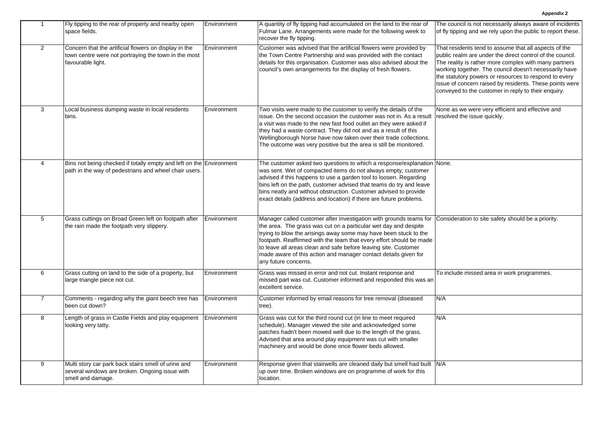| $\mathbf{1}$   | Fly tipping to the rear of property and nearby open<br>space fields.                                                               | Environment | A quantity of fly tipping had accumulated on the land to the rear of<br>Fulmar Lane. Arrangements were made for the following week to<br>recover the fly tipping.                                                                                                                                                                                                                                                                              | The council is not necessarily always aware of incidents<br>of fly tipping and we rely upon the public to report these.                                                                                                                                                                                                                                                                                          |
|----------------|------------------------------------------------------------------------------------------------------------------------------------|-------------|------------------------------------------------------------------------------------------------------------------------------------------------------------------------------------------------------------------------------------------------------------------------------------------------------------------------------------------------------------------------------------------------------------------------------------------------|------------------------------------------------------------------------------------------------------------------------------------------------------------------------------------------------------------------------------------------------------------------------------------------------------------------------------------------------------------------------------------------------------------------|
| $\overline{2}$ | Concern that the artificial flowers on display in the<br>town centre were not portraying the town in the most<br>favourable light. | Environment | Customer was advised that the artificial flowers were provided by<br>the Town Centre Partnership and was provided with the contact<br>details for this organisation. Customer was also advised about the<br>council's own arrangements for the display of fresh flowers.                                                                                                                                                                       | That residents tend to assume that all aspects of the<br>public realm are under the direct control of the council.<br>The reality is rather more complex with many partners<br>working together. The council doesn't necessarily have<br>the statutory powers or resources to respond to every<br>issue of concern raised by residents. These points were<br>conveyed to the customer in reply to their enquiry. |
| 3              | Local business dumping waste in local residents<br>bins.                                                                           | Environment | Two visits were made to the customer to verify the details of the<br>issue. On the second occasion the customer was not in. As a result<br>a visit was made to the new fast food outlet an they were asked if<br>they had a waste contract. They did not and as a result of this<br>Wellingborough Norse have now taken over their trade collections.<br>The outcome was very positive but the area is still be monitored.                     | None as we were very efficient and effective and<br>resolved the issue quickly.                                                                                                                                                                                                                                                                                                                                  |
| $\overline{4}$ | Bins not being checked if totally empty and left on the Environment<br>path in the way of pedestrians and wheel chair users.       |             | The customer asked two questions to which a response/explanation None.<br>was sent. Wet of compacted items do not always empty; customer<br>advised if this happens to use a garden tool to loosen. Regarding<br>bins left on the path, customer advised that teams do try and leave<br>bins neatly and without obstruction. Customer advised to provide<br>exact details (address and location) if there are future problems.                 |                                                                                                                                                                                                                                                                                                                                                                                                                  |
| $\overline{5}$ | Grass cuttings on Broad Green left on footpath after<br>the rain made the footpath very slippery.                                  | Environment | Manager called customer after investigation with grounds teams for<br>the area. The grass was cut on a particular wet day and despite<br>trying to blow the arisings away some may have been stuck to the<br>footpath. Reaffirmed with the team that every effort should be made<br>to leave all areas clean and safe before leaving site. Customer<br>made aware of this action and manager contact details given for<br>any future concerns. | Consideration to site safety should be a priority.                                                                                                                                                                                                                                                                                                                                                               |
| 6              | Grass cutting on land to the side of a property, but<br>large triangle piece not cut.                                              | Environment | Grass was missed in error and not cut. Instant response and<br>missed part was cut. Customer informed and responded this was an<br>excellent service.                                                                                                                                                                                                                                                                                          | To include missed area in work programmes.                                                                                                                                                                                                                                                                                                                                                                       |
| $\overline{7}$ | Comments - regarding why the giant beech tree has<br>been cut down?                                                                | Environment | Customer informed by email reasons for tree removal (diseased<br>tree).                                                                                                                                                                                                                                                                                                                                                                        | N/A                                                                                                                                                                                                                                                                                                                                                                                                              |
| 8              | Length of grass in Castle Fields and play equipment<br>looking very tatty.                                                         | Environment | Grass was cut for the third round cut (in line to meet required<br>schedule). Manager viewed the site and acknowledged some<br>patches hadn't been mowed well due to the length of the grass.<br>Advised that area around play equipment was cut with smaller<br>machinery and would be done once flower beds allowed.                                                                                                                         | N/A                                                                                                                                                                                                                                                                                                                                                                                                              |
| 9              | Multi story car park back stairs smell of urine and<br>several windows are broken. Ongoing issue with<br>smell and damage.         | Environment | Response given that stairwells are cleaned daily but smell had built N/A<br>up over time. Broken windows are on programme of work for this<br>location.                                                                                                                                                                                                                                                                                        |                                                                                                                                                                                                                                                                                                                                                                                                                  |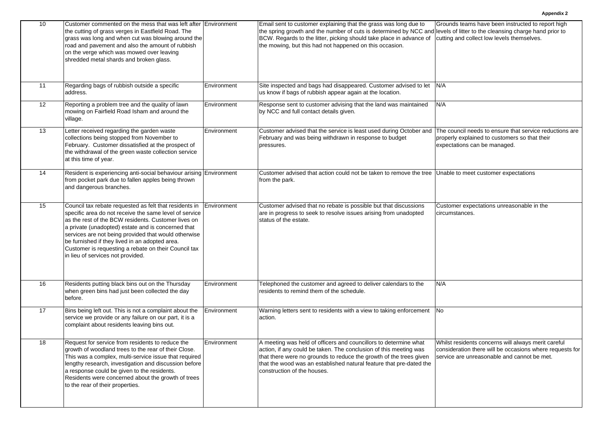| 10 | Customer commented on the mess that was left after Environment<br>the cutting of grass verges in Eastfield Road. The<br>grass was long and when cut was blowing around the<br>road and pavement and also the amount of rubbish<br>on the verge which was mowed over leaving<br>shredded metal shards and broken glass.                                                                                                               |             | Email sent to customer explaining that the grass was long due to<br>the spring growth and the number of cuts is determined by NCC and levels of litter to the cleansing charge hand prior to<br>BCW. Regards to the litter, picking should take place in advance of<br>the mowing, but this had not happened on this occasion. | Grounds teams have been instructed to report high<br>cutting and collect low levels themselves.                                                                |
|----|--------------------------------------------------------------------------------------------------------------------------------------------------------------------------------------------------------------------------------------------------------------------------------------------------------------------------------------------------------------------------------------------------------------------------------------|-------------|--------------------------------------------------------------------------------------------------------------------------------------------------------------------------------------------------------------------------------------------------------------------------------------------------------------------------------|----------------------------------------------------------------------------------------------------------------------------------------------------------------|
| 11 | Regarding bags of rubbish outside a specific<br>address.                                                                                                                                                                                                                                                                                                                                                                             | Environment | Site inspected and bags had disappeared. Customer advised to let<br>us know if bags of rubbish appear again at the location.                                                                                                                                                                                                   | N/A                                                                                                                                                            |
| 12 | Reporting a problem tree and the quality of lawn<br>mowing on Fairfield Road Isham and around the<br>village.                                                                                                                                                                                                                                                                                                                        | Environment | Response sent to customer advising that the land was maintained<br>by NCC and full contact details given.                                                                                                                                                                                                                      | N/A                                                                                                                                                            |
| 13 | Letter received regarding the garden waste<br>collections being stopped from November to<br>February. Customer dissatisfied at the prospect of<br>the withdrawal of the green waste collection service<br>at this time of year.                                                                                                                                                                                                      | Environment | Customer advised that the service is least used during October and The council needs to ensure that service reductions are<br>February and was being withdrawn in response to budget<br>pressures.                                                                                                                             | properly explained to customers so that their<br>expectations can be managed.                                                                                  |
| 14 | Resident is experiencing anti-social behaviour arising Environment<br>from pocket park due to fallen apples being thrown<br>and dangerous branches.                                                                                                                                                                                                                                                                                  |             | Customer advised that action could not be taken to remove the tree Unable to meet customer expectations<br>from the park.                                                                                                                                                                                                      |                                                                                                                                                                |
| 15 | Council tax rebate requested as felt that residents in<br>specific area do not receive the same level of service<br>as the rest of the BCW residents. Customer lives on<br>a private (unadopted) estate and is concerned that<br>services are not being provided that would otherwise<br>be furnished if they lived in an adopted area.<br>Customer is requesting a rebate on their Council tax<br>in lieu of services not provided. | Environment | Customer advised that no rebate is possible but that discussions<br>are in progress to seek to resolve issues arising from unadopted<br>status of the estate.                                                                                                                                                                  | Customer expectations unreasonable in the<br>circumstances.                                                                                                    |
| 16 | Residents putting black bins out on the Thursday<br>when green bins had just been collected the day<br>before.                                                                                                                                                                                                                                                                                                                       | Environment | Telephoned the customer and agreed to deliver calendars to the<br>residents to remind them of the schedule.                                                                                                                                                                                                                    | N/A                                                                                                                                                            |
| 17 | Bins being left out. This is not a complaint about the<br>service we provide or any failure on our part, it is a<br>complaint about residents leaving bins out.                                                                                                                                                                                                                                                                      | Environment | Warning letters sent to residents with a view to taking enforcement<br>action.                                                                                                                                                                                                                                                 | No                                                                                                                                                             |
| 18 | Request for service from residents to reduce the<br>growth of woodland trees to the rear of their Close.<br>This was a complex, multi-service issue that required<br>lengthy research, investigation and discussion before<br>a response could be given to the residents.<br>Residents were concerned about the growth of trees<br>to the rear of their properties.                                                                  | Environment | A meeting was held of officers and councillors to determine what<br>action, if any could be taken. The conclusion of this meeting was<br>that there were no grounds to reduce the growth of the trees given<br>that the wood was an established natural feature that pre-dated the<br>construction of the houses.              | Whilst residents concerns will always merit careful<br>consideration there will be occasions where requests for<br>service are unreasonable and cannot be met. |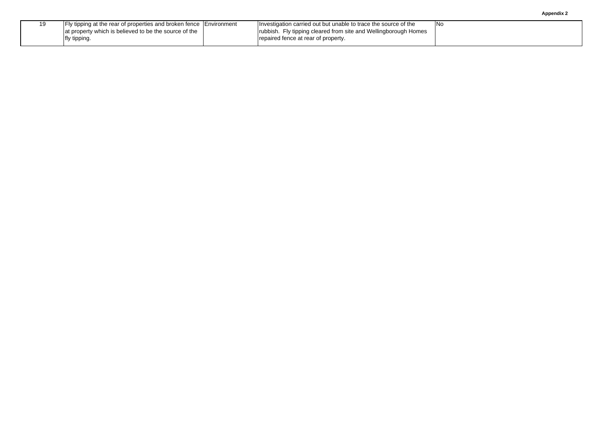| Appendix 2 |
|------------|
|------------|

| I Fly tipping at the rear of properties and broken fence I Environment | Investigation carried out but unable to trace the source of the | INo |
|------------------------------------------------------------------------|-----------------------------------------------------------------|-----|
| at property which is believed to be the source of the                  | rubbish. Fly tipping cleared from site and Wellingborough Homes |     |
| fly tipping.                                                           | repaired fence at rear of property.                             |     |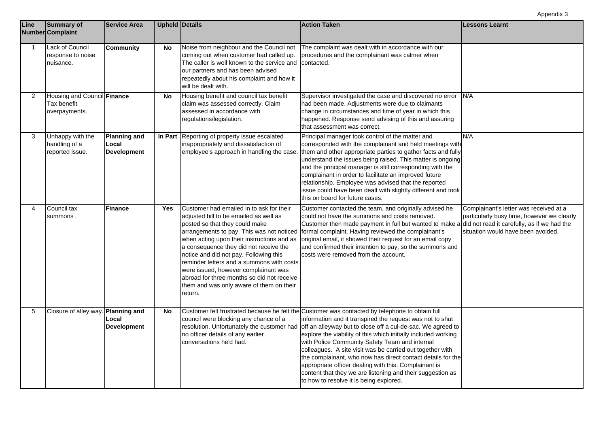| Line         | <b>Summary of</b><br><b>Number Complaint</b>                | <b>Service Area</b>                                |            | <b>Upheld Details</b>                                                                                                                                                                                                                                                                                                                                                                                                                            | <b>Action Taken</b>                                                                                                                                                                                                                                                                                                                                                                                                                                                                                                                                                                                                                           | <b>Lessons Learnt</b>                                                                                                      |
|--------------|-------------------------------------------------------------|----------------------------------------------------|------------|--------------------------------------------------------------------------------------------------------------------------------------------------------------------------------------------------------------------------------------------------------------------------------------------------------------------------------------------------------------------------------------------------------------------------------------------------|-----------------------------------------------------------------------------------------------------------------------------------------------------------------------------------------------------------------------------------------------------------------------------------------------------------------------------------------------------------------------------------------------------------------------------------------------------------------------------------------------------------------------------------------------------------------------------------------------------------------------------------------------|----------------------------------------------------------------------------------------------------------------------------|
| $\mathbf{1}$ | Lack of Council<br>response to noise<br>nuisance.           | <b>Community</b>                                   | No         | Noise from neighbour and the Council not<br>coming out when customer had called up.<br>The caller is well known to the service and<br>our partners and has been advised<br>repeatedly about his complaint and how it<br>will be dealt with.                                                                                                                                                                                                      | The complaint was dealt with in accordance with our<br>procedures and the complainant was calmer when<br>contacted.                                                                                                                                                                                                                                                                                                                                                                                                                                                                                                                           |                                                                                                                            |
| 2            | Housing and Council Finance<br>Tax benefit<br>overpayments. |                                                    | <b>No</b>  | Housing benefit and council tax benefit<br>claim was assessed correctly. Claim<br>assessed in accordance with<br>regulations/legislation.                                                                                                                                                                                                                                                                                                        | Supervisor investigated the case and discovered no error<br>had been made. Adjustments were due to claimants<br>change in circumstances and time of year in which this<br>happened. Response send advising of this and assuring<br>that assessment was correct.                                                                                                                                                                                                                                                                                                                                                                               | N/A                                                                                                                        |
| 3            | Unhappy with the<br>handling of a<br>reported issue.        | <b>Planning and</b><br>Local<br><b>Development</b> |            | In Part Reporting of property issue escalated<br>inappropriately and dissatisfaction of<br>employee's approach in handling the case.                                                                                                                                                                                                                                                                                                             | Principal manager took control of the matter and<br>corresponded with the complainant and held meetings with<br>them and other appropriate parties to gather facts and fully<br>understand the issues being raised. This matter is ongoing<br>and the principal manager is still corresponding with the<br>complainant in order to facilitate an improved future<br>relationship. Employee was advised that the reported<br>issue could have been dealt with slightly different and took<br>this on board for future cases.                                                                                                                   | N/A                                                                                                                        |
| 4            | Council tax<br>summons.                                     | <b>Finance</b>                                     | <b>Yes</b> | Customer had emailed in to ask for their<br>adjusted bill to be emailed as well as<br>posted so that they could make<br>when acting upon their instructions and as<br>a consequence they did not receive the<br>notice and did not pay. Following this<br>reminder letters and a summons with costs<br>were issued, however complainant was<br>abroad for three months so did not receive<br>them and was only aware of them on their<br>return. | Customer contacted the team, and originally advised he<br>could not have the summons and costs removed.<br>Customer then made payment in full but wanted to make a did not read it carefully, as if we had the<br>arrangements to pay. This was not noticed   formal complaint. Having reviewed the complainant's<br>original email, it showed their request for an email copy<br>and confirmed their intention to pay, so the summons and<br>costs were removed from the account.                                                                                                                                                            | Complainant's letter was received at a<br>particularly busy time, however we clearly<br>situation would have been avoided. |
| 5            | Closure of alley way. Planning and                          | Local<br><b>Development</b>                        | No         | council were blocking any chance of a<br>resolution. Unfortunately the customer had<br>no officer details of any earlier<br>conversations he'd had.                                                                                                                                                                                                                                                                                              | Customer felt frustrated because he felt the Customer was contacted by telephone to obtain full<br>information and it transpired the request was not to shut<br>off an alleyway but to close off a cul-de-sac. We agreed to<br>explore the viability of this which initially included working<br>with Police Community Safety Team and internal<br>colleagues. A site visit was be carried out together with<br>the complainant, who now has direct contact details for the<br>appropriate officer dealing with this. Complainant is<br>content that they we are listening and their suggestion as<br>to how to resolve it is being explored. |                                                                                                                            |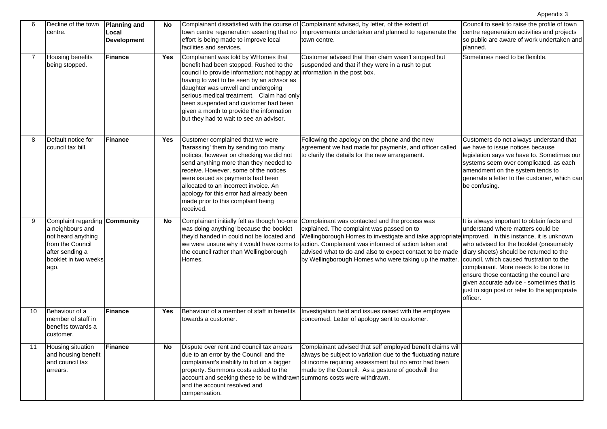| 6  | Decline of the town<br>centre.                                                                                                                 | <b>Planning and</b><br>Local<br><b>Development</b> | No  | effort is being made to improve local<br>facilities and services.                                                                                                                                                                                                                                                                                                                                                           | Complainant dissatisfied with the course of Complainant advised, by letter, of the extent of<br>town centre regeneration asserting that no improvements undertaken and planned to regenerate the<br>town centre.                                                                                                                                                                                                                                                     | Council to seek to raise the profile of town<br>centre regeneration activities and projects<br>so public are aware of work undertaken and<br>planned.                                                                                                                                                                                                                                                           |
|----|------------------------------------------------------------------------------------------------------------------------------------------------|----------------------------------------------------|-----|-----------------------------------------------------------------------------------------------------------------------------------------------------------------------------------------------------------------------------------------------------------------------------------------------------------------------------------------------------------------------------------------------------------------------------|----------------------------------------------------------------------------------------------------------------------------------------------------------------------------------------------------------------------------------------------------------------------------------------------------------------------------------------------------------------------------------------------------------------------------------------------------------------------|-----------------------------------------------------------------------------------------------------------------------------------------------------------------------------------------------------------------------------------------------------------------------------------------------------------------------------------------------------------------------------------------------------------------|
|    | <b>Housing benefits</b><br>being stopped.                                                                                                      | <b>Finance</b>                                     | Yes | Complainant was told by WHomes that<br>benefit had been stopped. Rushed to the<br>council to provide information; not happy at information in the post box.<br>having to wait to be seen by an advisor as<br>daughter was unwell and undergoing<br>serious medical treatment. Claim had only<br>been suspended and customer had been<br>given a month to provide the information<br>but they had to wait to see an advisor. | Customer advised that their claim wasn't stopped but<br>suspended and that if they were in a rush to put                                                                                                                                                                                                                                                                                                                                                             | Sometimes need to be flexible.                                                                                                                                                                                                                                                                                                                                                                                  |
| 8  | Default notice for<br>council tax bill.                                                                                                        | Finance                                            | Yes | Customer complained that we were<br>'harassing' them by sending too many<br>notices, however on checking we did not<br>send anything more than they needed to<br>receive. However, some of the notices<br>were issued as payments had been<br>allocated to an incorrect invoice. An<br>apology for this error had already been<br>made prior to this complaint being<br>received.                                           | Following the apology on the phone and the new<br>agreement we had made for payments, and officer called<br>to clarify the details for the new arrangement.                                                                                                                                                                                                                                                                                                          | Customers do not always understand that<br>we have to issue notices because<br>legislation says we have to. Sometimes our<br>systems seem over complicated, as each<br>amendment on the system tends to<br>generate a letter to the customer, which can<br>be confusing.                                                                                                                                        |
| 9  | Complaint regarding Community<br>a neighbours and<br>not heard anything<br>from the Council<br>after sending a<br>booklet in two weeks<br>ago. |                                                    | No  | was doing anything' because the booklet<br>they'd handed in could not be located and<br>the council rather than Wellingborough<br>Homes.                                                                                                                                                                                                                                                                                    | Complainant initially felt as though 'no-one Complainant was contacted and the process was<br>explained. The complaint was passed on to<br>Wellingborough Homes to investigate and take appropriate improved. In this instance, it is unknown<br>we were unsure why it would have come to action. Complainant was informed of action taken and<br>advised what to do and also to expect contact to be made<br>by Wellingborough Homes who were taking up the matter. | It is always important to obtain facts and<br>understand where matters could be<br>who advised for the booklet (presumably<br>diary sheets) should be returned to the<br>council, which caused frustration to the<br>complainant. More needs to be done to<br>ensure those contacting the council are<br>given accurate advice - sometimes that is<br>just to sign post or refer to the appropriate<br>officer. |
| 10 | Behaviour of a<br>member of staff in<br>benefits towards a<br>customer.                                                                        | <b>Finance</b>                                     | Yes | Behaviour of a member of staff in benefits<br>towards a customer.                                                                                                                                                                                                                                                                                                                                                           | Investigation held and issues raised with the employee<br>concerned. Letter of apology sent to customer.                                                                                                                                                                                                                                                                                                                                                             |                                                                                                                                                                                                                                                                                                                                                                                                                 |
| 11 | Housing situation<br>and housing benefit<br>and council tax<br>arrears.                                                                        | Finance                                            | No  | Dispute over rent and council tax arrears<br>due to an error by the Council and the<br>complainant's inability to bid on a bigger<br>property. Summons costs added to the<br>account and seeking these to be withdrawn summons costs were withdrawn.<br>and the account resolved and<br>compensation.                                                                                                                       | Complainant advised that self employed benefit claims will<br>always be subject to variation due to the fluctuating nature<br>of income requiring assessment but no error had been<br>made by the Council. As a gesture of goodwill the                                                                                                                                                                                                                              |                                                                                                                                                                                                                                                                                                                                                                                                                 |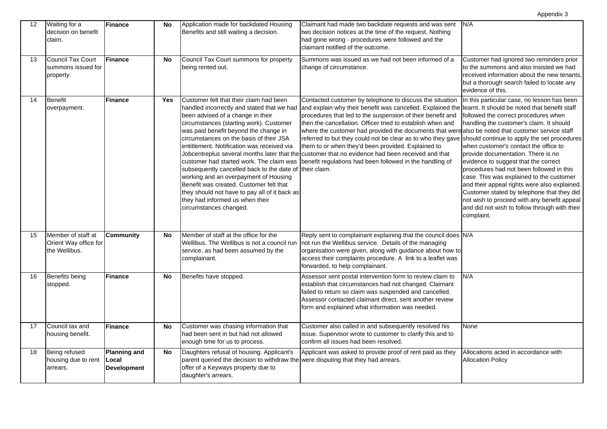| $12 \overline{ }$ | Waiting for a<br>decision on benefit<br>claim.               | Finance                                            | No        | Application made for backdated Housing<br>Benefits and still waiting a decision.                                                                                                                                                                                                                                                                                                                                                                                                                                                                                   | Claimant had made two backdate requests and was sent<br>two decision notices at the time of the request. Nothing<br>had gone wrong - procedures were followed and the<br>claimant notified of the outcome.                                                                                                                                                                                                                                                                                                                                                                                                                                                                              | N/A                                                                                                                                                                                                                                                                                                                                                                                                                                                                                                                                                                                                                                                        |
|-------------------|--------------------------------------------------------------|----------------------------------------------------|-----------|--------------------------------------------------------------------------------------------------------------------------------------------------------------------------------------------------------------------------------------------------------------------------------------------------------------------------------------------------------------------------------------------------------------------------------------------------------------------------------------------------------------------------------------------------------------------|-----------------------------------------------------------------------------------------------------------------------------------------------------------------------------------------------------------------------------------------------------------------------------------------------------------------------------------------------------------------------------------------------------------------------------------------------------------------------------------------------------------------------------------------------------------------------------------------------------------------------------------------------------------------------------------------|------------------------------------------------------------------------------------------------------------------------------------------------------------------------------------------------------------------------------------------------------------------------------------------------------------------------------------------------------------------------------------------------------------------------------------------------------------------------------------------------------------------------------------------------------------------------------------------------------------------------------------------------------------|
| 13                | <b>Council Tax Court</b><br>summons issued for<br>property.  | Finance                                            | <b>No</b> | Council Tax Court summons for property<br>being rented out.                                                                                                                                                                                                                                                                                                                                                                                                                                                                                                        | Summons was issued as we had not been informed of a<br>change of circumstance.                                                                                                                                                                                                                                                                                                                                                                                                                                                                                                                                                                                                          | Customer had ignored two reminders prior<br>to the summons and also insisted we had<br>received information about the new tenants,<br>but a thorough search failed to locate any<br>evidence of this.                                                                                                                                                                                                                                                                                                                                                                                                                                                      |
| 14                | <b>Benefit</b><br>overpayment.                               | <b>Finance</b>                                     | Yes       | Customer felt that their claim had been<br>been advised of a change in their<br>circumstances (starting work). Customer<br>was paid benefit beyond the change in<br>circumstances on the basis of their JSA<br>entitlement. Notification was received via<br>customer had started work. The claim was<br>subsequently cancelled back to the date of their claim.<br>working and an overpayment of Housing<br>Benefit was created. Customer felt that<br>they should not have to pay all of it back as<br>they had informed us when their<br>circumstances changed. | Contacted customer by telephone to discuss the situation<br>handled incorrectly and stated that we had and explain why their benefit was cancelled. Explained the<br>procedures that led to the suspension of their benefit and<br>then the cancellation. Officer tried to establish when and<br>where the customer had provided the documents that were also be noted that customer service staff<br>referred to but they could not be clear as to who they gave<br>them to or when they'd been provided. Explained to<br>Jobcentreplus several months later that the customer that no evidence had been received and that<br>benefit regulations had been followed in the handling of | In this particular case, no lesson has been<br>learnt. It should be noted that benefit staff<br>followed the correct procedures when<br>handling the customer's claim. It should<br>should continue to apply the set procedures<br>when customer's contact the office to<br>provide documentation. There is no<br>evidence to suggest that the correct<br>procedures had not been followed in this<br>case. This was explained to the customer<br>and their appeal rights were also explained.<br>Customer stated by telephone that they did<br>not wish to proceed with any benefit appeal<br>and did not wish to follow through with their<br>complaint. |
| 15                | Member of staff at<br>Orient Way office for<br>the Wellibus. | <b>Community</b>                                   | <b>No</b> | Member of staff at the office for the<br>Wellibus. The Wellibus is not a council run<br>service, as had been assumed by the<br>complainant.                                                                                                                                                                                                                                                                                                                                                                                                                        | Reply sent to complainant explaining that the council does N/A<br>not run the Wellibus service. Details of the managing<br>organisation were given, along with guidance about how to<br>access their complaints procedure. A link to a leaflet was<br>forwarded, to help complainant.                                                                                                                                                                                                                                                                                                                                                                                                   |                                                                                                                                                                                                                                                                                                                                                                                                                                                                                                                                                                                                                                                            |
| 16                | Benefits being<br>stopped.                                   | <b>Finance</b>                                     | <b>No</b> | Benefits have stopped.                                                                                                                                                                                                                                                                                                                                                                                                                                                                                                                                             | Assessor sent postal intervention form to review claim to<br>establish that circumstances had not changed. Claimant<br>failed to return so claim was suspended and cancelled.<br>Assessor contacted claimant direct, sent another review<br>form and explained what information was needed.                                                                                                                                                                                                                                                                                                                                                                                             | N/A                                                                                                                                                                                                                                                                                                                                                                                                                                                                                                                                                                                                                                                        |
| 17                | Council tax and<br>housing benefit.                          | Finance                                            | No        | Customer was chasing information that<br>had been sent in but had not allowed<br>enough time for us to process.                                                                                                                                                                                                                                                                                                                                                                                                                                                    | Customer also called in and subsequently resolved his<br>issue. Supervisor wrote to customer to clarify this and to<br>confirm all issues had been resolved.                                                                                                                                                                                                                                                                                                                                                                                                                                                                                                                            | None                                                                                                                                                                                                                                                                                                                                                                                                                                                                                                                                                                                                                                                       |
| 18                | Being refused<br>housing due to rent<br>arrears.             | <b>Planning and</b><br>Local<br><b>Development</b> | <b>No</b> | Daughters refusal of housing. Applicant's<br>parent queried the decision to withdraw the were disputing that they had arrears.<br>offer of a Keyways property due to<br>daughter's arrears.                                                                                                                                                                                                                                                                                                                                                                        | Applicant was asked to provide proof of rent paid as they                                                                                                                                                                                                                                                                                                                                                                                                                                                                                                                                                                                                                               | Allocations acted in accordance with<br><b>Allocation Policy</b>                                                                                                                                                                                                                                                                                                                                                                                                                                                                                                                                                                                           |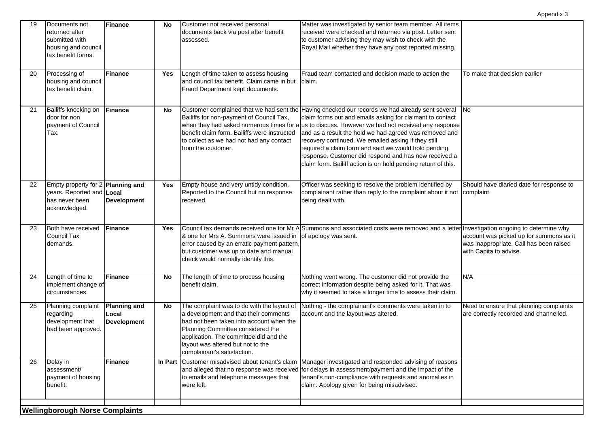|    |                                                                                                   |                                                    |            |                                                                                                                                                                                                                                                                                    |                                                                                                                                                                                                                                                                                                                                                                                                                                                                                                                                                                     | Appendix 3                                                                                                   |
|----|---------------------------------------------------------------------------------------------------|----------------------------------------------------|------------|------------------------------------------------------------------------------------------------------------------------------------------------------------------------------------------------------------------------------------------------------------------------------------|---------------------------------------------------------------------------------------------------------------------------------------------------------------------------------------------------------------------------------------------------------------------------------------------------------------------------------------------------------------------------------------------------------------------------------------------------------------------------------------------------------------------------------------------------------------------|--------------------------------------------------------------------------------------------------------------|
| 19 | Documents not<br>returned after<br>submitted with<br>housing and council<br>tax benefit forms.    | Finance                                            | No         | Customer not received personal<br>documents back via post after benefit<br>assessed.                                                                                                                                                                                               | Matter was investigated by senior team member. All items<br>received were checked and returned via post. Letter sent<br>to customer advising they may wish to check with the<br>Royal Mail whether they have any post reported missing.                                                                                                                                                                                                                                                                                                                             |                                                                                                              |
| 20 | Processing of<br>housing and council<br>tax benefit claim.                                        | Finance                                            | <b>Yes</b> | Length of time taken to assess housing<br>and council tax benefit. Claim came in but<br>Fraud Department kept documents.                                                                                                                                                           | Fraud team contacted and decision made to action the<br>claim.                                                                                                                                                                                                                                                                                                                                                                                                                                                                                                      | To make that decision earlier                                                                                |
| 21 | Bailiffs knocking on<br>door for non<br>payment of Council<br>Tax.                                | Finance                                            | No         | Bailiffs for non-payment of Council Tax,<br>benefit claim form. Bailiffs were instructed<br>to collect as we had not had any contact<br>from the customer.                                                                                                                         | Customer complained that we had sent the Having checked our records we had already sent several<br>claim forms out and emails asking for claimant to contact<br>when they had asked numerous times for a us to discuss. However we had not received any response<br>and as a result the hold we had agreed was removed and<br>recovery continued. We emailed asking if they still<br>required a claim form and said we would hold pending<br>response. Customer did respond and has now received a<br>claim form. Bailiff action is on hold pending return of this. | <b>No</b>                                                                                                    |
| 22 | Empty property for 2 Planning and<br>years. Reported and Local<br>has never been<br>acknowledged. | <b>Development</b>                                 | <b>Yes</b> | Empty house and very untidy condition.<br>Reported to the Council but no response<br>received.                                                                                                                                                                                     | Officer was seeking to resolve the problem identified by<br>complainant rather than reply to the complaint about it not<br>being dealt with.                                                                                                                                                                                                                                                                                                                                                                                                                        | Should have diaried date for response to<br>complaint.                                                       |
| 23 | Both have received<br><b>Council Tax</b><br>demands.                                              | Finance                                            | Yes        | & one for Mrs A. Summons were issued in<br>error caused by an erratic payment pattern,<br>but customer was up to date and manual<br>check would normally identify this.                                                                                                            | Council tax demands received one for Mr A Summons and associated costs were removed and a letter Investigation ongoing to determine why<br>of apology was sent.                                                                                                                                                                                                                                                                                                                                                                                                     | account was picked up for summons as it<br>was inappropriate. Call has been raised<br>with Capita to advise. |
| 24 | Length of time to<br>implement change of<br>circumstances.                                        | Finance                                            | No         | The length of time to process housing<br>benefit claim.                                                                                                                                                                                                                            | Nothing went wrong. The customer did not provide the<br>correct information despite being asked for it. That was<br>why it seemed to take a longer time to assess their claim.                                                                                                                                                                                                                                                                                                                                                                                      | N/A                                                                                                          |
| 25 | Planning complaint<br>regarding<br>development that<br>had been approved.                         | <b>Planning and</b><br>Local<br><b>Development</b> | No         | The complaint was to do with the layout of<br>a development and that their comments<br>had not been taken into account when the<br>Planning Committee considered the<br>application. The committee did and the<br>layout was altered but not to the<br>complainant's satisfaction. | Nothing - the complainant's comments were taken in to<br>account and the layout was altered.                                                                                                                                                                                                                                                                                                                                                                                                                                                                        | Need to ensure that planning complaints<br>are correctly recorded and channelled.                            |
| 26 | Delay in<br>assessment/<br>payment of housing<br>benefit.                                         | <b>Finance</b>                                     |            | In Part Customer misadvised about tenant's claim<br>to emails and telephone messages that<br>were left.                                                                                                                                                                            | Manager investigated and responded advising of reasons<br>and alleged that no response was received for delays in assessment/payment and the impact of the<br>tenant's non-compliance with requests and anomalies in<br>claim. Apology given for being misadvised.                                                                                                                                                                                                                                                                                                  |                                                                                                              |
|    | <b>Wellingborough Norse Complaints</b>                                                            |                                                    |            |                                                                                                                                                                                                                                                                                    |                                                                                                                                                                                                                                                                                                                                                                                                                                                                                                                                                                     |                                                                                                              |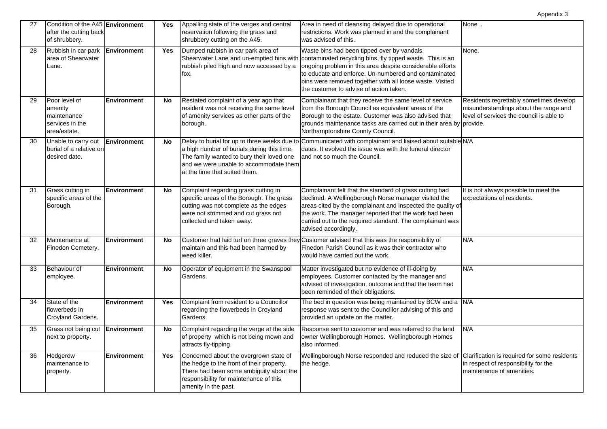| 27 | Condition of the A45 Environment<br>after the cutting back<br>of shrubbery. |                    | Yes        | Appalling state of the verges and central<br>reservation following the grass and<br>shrubbery cutting on the A45.                                                                                | Area in need of cleansing delayed due to operational<br>restrictions. Work was planned in and the complainant<br>was advised of this.                                                                                                                                                                                                | None.                                                                                                                        |
|----|-----------------------------------------------------------------------------|--------------------|------------|--------------------------------------------------------------------------------------------------------------------------------------------------------------------------------------------------|--------------------------------------------------------------------------------------------------------------------------------------------------------------------------------------------------------------------------------------------------------------------------------------------------------------------------------------|------------------------------------------------------------------------------------------------------------------------------|
| 28 | Rubbish in car park <b>Environment</b><br>area of Shearwater<br>Lane.       |                    | <b>Yes</b> | Dumped rubbish in car park area of<br>Shearwater Lane and un-emptied bins with<br>rubbish piled high and now accessed by a<br>fox.                                                               | Waste bins had been tipped over by vandals,<br>contaminated recycling bins, fly tipped waste. This is an<br>ongoing problem in this area despite considerable efforts<br>to educate and enforce. Un-numbered and contaminated<br>bins were removed together with all loose waste. Visited<br>the customer to advise of action taken. | None.                                                                                                                        |
| 29 | Poor level of<br>amenity<br>maintenance<br>services in the<br>area/estate.  | <b>Environment</b> | No         | Restated complaint of a year ago that<br>resident was not receiving the same level<br>of amenity services as other parts of the<br>borough.                                                      | Complainant that they receive the same level of service<br>from the Borough Council as equivalent areas of the<br>Borough to the estate. Customer was also advised that<br>grounds maintenance tasks are carried out in their area by provide.<br>Northamptonshire County Council.                                                   | Residents regrettably sometimes develop<br>misunderstandings about the range and<br>level of services the council is able to |
| 30 | Unable to carry out<br>burial of a relative on<br>desired date.             | <b>Environment</b> | <b>No</b>  | a high number of burials during this time.<br>The family wanted to bury their loved one<br>and we were unable to accommodate them<br>at the time that suited them.                               | Delay to burial for up to three weeks due to Communicated with complainant and liaised about suitable N/A<br>dates. It evolved the issue was with the funeral director<br>and not so much the Council.                                                                                                                               |                                                                                                                              |
| 31 | Grass cutting in<br>specific areas of the<br>Borough.                       | <b>Environment</b> | <b>No</b>  | Complaint regarding grass cutting in<br>specific areas of the Borough. The grass<br>cutting was not complete as the edges<br>were not strimmed and cut grass not<br>collected and taken away.    | Complainant felt that the standard of grass cutting had<br>declined. A Wellingborough Norse manager visited the<br>areas cited by the complainant and inspected the quality of<br>the work. The manager reported that the work had been<br>carried out to the required standard. The complainant was<br>advised accordingly.         | It is not always possible to meet the<br>expectations of residents.                                                          |
| 32 | Maintenance at<br>Finedon Cemetery.                                         | <b>Environment</b> | No         | maintain and this had been harmed by<br>weed killer.                                                                                                                                             | Customer had laid turf on three graves they Customer advised that this was the responsibility of<br>Finedon Parish Council as it was their contractor who<br>would have carried out the work.                                                                                                                                        | N/A                                                                                                                          |
| 33 | Behaviour of<br>employee.                                                   | <b>Environment</b> | <b>No</b>  | Operator of equipment in the Swanspool<br>Gardens.                                                                                                                                               | Matter investigated but no evidence of ill-doing by<br>employees. Customer contacted by the manager and<br>advised of investigation, outcome and that the team had<br>been reminded of their obligations.                                                                                                                            | N/A                                                                                                                          |
| 34 | State of the<br>flowerbeds in<br>Croyland Gardens.                          | Environment        | Yes        | Complaint from resident to a Councillor<br>regarding the flowerbeds in Croyland<br>Gardens.                                                                                                      | The bed in question was being maintained by BCW and a N/A<br>response was sent to the Councillor advising of this and<br>provided an update on the matter.                                                                                                                                                                           |                                                                                                                              |
| 35 | Grass not being cut<br>next to property.                                    | Environment        | <b>No</b>  | Complaint regarding the verge at the side<br>of property which is not being mown and<br>attracts fly-tipping.                                                                                    | Response sent to customer and was referred to the land<br>owner Wellingborough Homes. Wellingborough Homes<br>also informed.                                                                                                                                                                                                         | N/A                                                                                                                          |
| 36 | Hedgerow<br>maintenance to<br>property.                                     | Environment        | Yes        | Concerned about the overgrown state of<br>the hedge to the front of their property.<br>There had been some ambiguity about the<br>responsibility for maintenance of this<br>amenity in the past. | Wellingborough Norse responded and reduced the size of<br>the hedge.                                                                                                                                                                                                                                                                 | Clarification is required for some residents<br>in respect of responsibility for the<br>maintenance of amenities.            |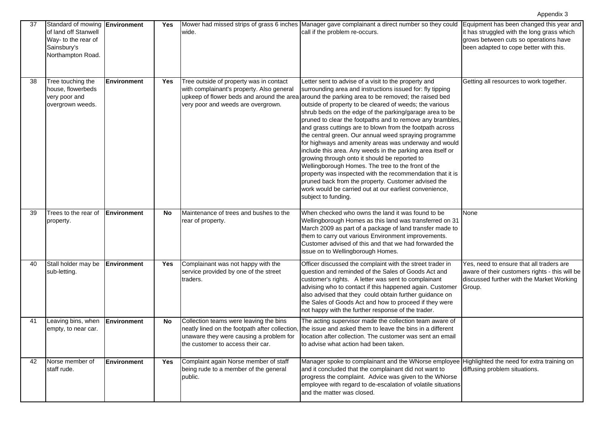| 37 | Standard of mowing <b>Environment</b><br>of land off Stanwell<br>Way- to the rear of<br>Sainsbury's<br>Northampton Road. |                    | Yes        | wide.                                                                                                                                                                    | Mower had missed strips of grass 6 inches Manager gave complainant a direct number so they could<br>call if the problem re-occurs.                                                                                                                                                                                                                                                                                                                                                                                                                                                                                                                                                                                                                                                                                                                                                                                                                              | Equipment has been changed this year and<br>it has struggled with the long grass which<br>grows between cuts so operations have<br>been adapted to cope better with this. |
|----|--------------------------------------------------------------------------------------------------------------------------|--------------------|------------|--------------------------------------------------------------------------------------------------------------------------------------------------------------------------|-----------------------------------------------------------------------------------------------------------------------------------------------------------------------------------------------------------------------------------------------------------------------------------------------------------------------------------------------------------------------------------------------------------------------------------------------------------------------------------------------------------------------------------------------------------------------------------------------------------------------------------------------------------------------------------------------------------------------------------------------------------------------------------------------------------------------------------------------------------------------------------------------------------------------------------------------------------------|---------------------------------------------------------------------------------------------------------------------------------------------------------------------------|
| 38 | Tree touching the<br>house, flowerbeds<br>very poor and<br>overgrown weeds.                                              | <b>Environment</b> | Yes        | Tree outside of property was in contact<br>with complainant's property. Also general<br>very poor and weeds are overgrown.                                               | Letter sent to advise of a visit to the property and<br>surrounding area and instructions issued for: fly tipping<br>upkeep of flower beds and around the area around the parking area to be removed; the raised bed<br>outside of property to be cleared of weeds; the various<br>shrub beds on the edge of the parking/garage area to be<br>pruned to clear the footpaths and to remove any brambles,<br>and grass cuttings are to blown from the footpath across<br>the central green. Our annual weed spraying programme<br>for highways and amenity areas was underway and would<br>include this area. Any weeds in the parking area itself or<br>growing through onto it should be reported to<br>Wellingborough Homes. The tree to the front of the<br>property was inspected with the recommendation that it is<br>pruned back from the property. Customer advised the<br>work would be carried out at our earliest convenience,<br>subject to funding. | Getting all resources to work together.                                                                                                                                   |
| 39 | Trees to the rear of<br>property.                                                                                        | <b>Environment</b> | <b>No</b>  | Maintenance of trees and bushes to the<br>rear of property.                                                                                                              | When checked who owns the land it was found to be<br>Wellingborough Homes as this land was transferred on 31<br>March 2009 as part of a package of land transfer made to<br>them to carry out various Environment improvements.<br>Customer advised of this and that we had forwarded the<br>issue on to Wellingborough Homes.                                                                                                                                                                                                                                                                                                                                                                                                                                                                                                                                                                                                                                  | None                                                                                                                                                                      |
| 40 | Stall holder may be<br>sub-letting.                                                                                      | Environment        | <b>Yes</b> | Complainant was not happy with the<br>service provided by one of the street<br>traders.                                                                                  | Officer discussed the complaint with the street trader in<br>question and reminded of the Sales of Goods Act and<br>customer's rights. A letter was sent to complainant<br>advising who to contact if this happened again. Customer<br>also advised that they could obtain further guidance on<br>the Sales of Goods Act and how to proceed if they were<br>not happy with the further response of the trader.                                                                                                                                                                                                                                                                                                                                                                                                                                                                                                                                                  | Yes, need to ensure that all traders are<br>aware of their customers rights - this will be<br>discussed further with the Market Working<br>Group.                         |
| 41 | Leaving bins, when<br>empty, to near car.                                                                                | <b>Environment</b> | <b>No</b>  | Collection teams were leaving the bins<br>neatly lined on the footpath after collection,<br>unaware they were causing a problem for<br>the customer to access their car. | The acting supervisor made the collection team aware of<br>the issue and asked them to leave the bins in a different<br>location after collection. The customer was sent an email<br>to advise what action had been taken.                                                                                                                                                                                                                                                                                                                                                                                                                                                                                                                                                                                                                                                                                                                                      |                                                                                                                                                                           |
| 42 | Norse member of<br>staff rude.                                                                                           | <b>Environment</b> | Yes        | Complaint again Norse member of staff<br>being rude to a member of the general<br>public.                                                                                | Manager spoke to complainant and the WNorse employee Highlighted the need for extra training on<br>and it concluded that the complainant did not want to<br>progress the complaint. Advice was given to the WNorse<br>employee with regard to de-escalation of volatile situations<br>and the matter was closed.                                                                                                                                                                                                                                                                                                                                                                                                                                                                                                                                                                                                                                                | diffusing problem situations.                                                                                                                                             |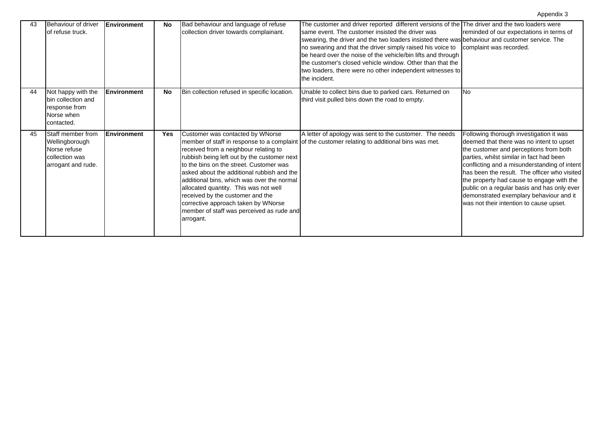| 43 | Behaviour of driver<br>of refuse truck.                                                     | <b>Environment</b> | No         | Bad behaviour and language of refuse<br>collection driver towards complainant.                                                                                                                                                                                                                                                                                                                                                                | The customer and driver reported different versions of the The driver and the two loaders were<br>same event. The customer insisted the driver was<br>swearing, the driver and the two loaders insisted there was behaviour and customer service. The<br>no swearing and that the driver simply raised his voice to<br>be heard over the noise of the vehicle/bin lifts and through<br>the customer's closed vehicle window. Other than that the<br>two loaders, there were no other independent witnesses to | reminded of our expectations in terms of<br>complaint was recorded.                                                                                                                                                                                                                                                                                                                                                                                         |
|----|---------------------------------------------------------------------------------------------|--------------------|------------|-----------------------------------------------------------------------------------------------------------------------------------------------------------------------------------------------------------------------------------------------------------------------------------------------------------------------------------------------------------------------------------------------------------------------------------------------|---------------------------------------------------------------------------------------------------------------------------------------------------------------------------------------------------------------------------------------------------------------------------------------------------------------------------------------------------------------------------------------------------------------------------------------------------------------------------------------------------------------|-------------------------------------------------------------------------------------------------------------------------------------------------------------------------------------------------------------------------------------------------------------------------------------------------------------------------------------------------------------------------------------------------------------------------------------------------------------|
| 44 | Not happy with the<br>bin collection and<br>response from<br>Norse when<br>contacted.       | <b>Environment</b> | <b>No</b>  | Bin collection refused in specific location.                                                                                                                                                                                                                                                                                                                                                                                                  | the incident.<br>Unable to collect bins due to parked cars. Returned on<br>third visit pulled bins down the road to empty.                                                                                                                                                                                                                                                                                                                                                                                    | <b>No</b>                                                                                                                                                                                                                                                                                                                                                                                                                                                   |
| 45 | Staff member from<br>Wellingborough<br>Norse refuse<br>collection was<br>arrogant and rude. | <b>Environment</b> | <b>Yes</b> | Customer was contacted by WNorse<br>received from a neighbour relating to<br>rubbish being left out by the customer next<br>to the bins on the street. Customer was<br>asked about the additional rubbish and the<br>additional bins, which was over the normal<br>allocated quantity. This was not well<br>received by the customer and the<br>corrective approach taken by WNorse<br>member of staff was perceived as rude and<br>arrogant. | A letter of apology was sent to the customer. The needs<br>member of staff in response to a complaint of the customer relating to additional bins was met.                                                                                                                                                                                                                                                                                                                                                    | Following thorough investigation it was<br>deemed that there was no intent to upset<br>the customer and perceptions from both<br>parties, whilst similar in fact had been<br>conflicting and a misunderstanding of intent<br>has been the result. The officer who visited<br>the property had cause to engage with the<br>public on a regular basis and has only ever<br>demonstrated exemplary behaviour and it<br>was not their intention to cause upset. |